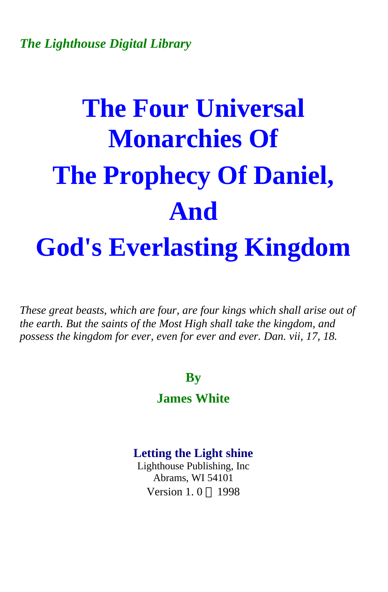# **The Four Universal Monarchies Of The Prophecy Of Daniel, And God's Everlasting Kingdom**

*These great beasts, which are four, are four kings which shall arise out of the earth. But the saints of the Most High shall take the kingdom, and possess the kingdom for ever, even for ever and ever. Dan. vii, 17, 18.* 

### **By**

### **James White**

# **Letting the Light shine**

Lighthouse Publishing, Inc Abrams, WI 54101 Version 1.0  $\odot$  1998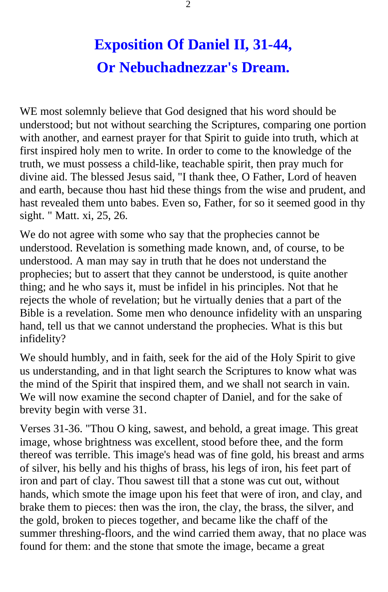# **Exposition Of Daniel II, 31-44, Or Nebuchadnezzar's Dream.**

WE most solemnly believe that God designed that his word should be understood; but not without searching the Scriptures, comparing one portion with another, and earnest prayer for that Spirit to guide into truth, which at first inspired holy men to write. In order to come to the knowledge of the truth, we must possess a child-like, teachable spirit, then pray much for divine aid. The blessed Jesus said, "I thank thee, O Father, Lord of heaven and earth, because thou hast hid these things from the wise and prudent, and hast revealed them unto babes. Even so, Father, for so it seemed good in thy sight. " Matt. xi, 25, 26.

We do not agree with some who say that the prophecies cannot be understood. Revelation is something made known, and, of course, to be understood. A man may say in truth that he does not understand the prophecies; but to assert that they cannot be understood, is quite another thing; and he who says it, must be infidel in his principles. Not that he rejects the whole of revelation; but he virtually denies that a part of the Bible is a revelation. Some men who denounce infidelity with an unsparing hand, tell us that we cannot understand the prophecies. What is this but infidelity?

We should humbly, and in faith, seek for the aid of the Holy Spirit to give us understanding, and in that light search the Scriptures to know what was the mind of the Spirit that inspired them, and we shall not search in vain. We will now examine the second chapter of Daniel, and for the sake of brevity begin with verse 31.

Verses 31-36. "Thou O king, sawest, and behold, a great image. This great image, whose brightness was excellent, stood before thee, and the form thereof was terrible. This image's head was of fine gold, his breast and arms of silver, his belly and his thighs of brass, his legs of iron, his feet part of iron and part of clay. Thou sawest till that a stone was cut out, without hands, which smote the image upon his feet that were of iron, and clay, and brake them to pieces: then was the iron, the clay, the brass, the silver, and the gold, broken to pieces together, and became like the chaff of the summer threshing-floors, and the wind carried them away, that no place was found for them: and the stone that smote the image, became a great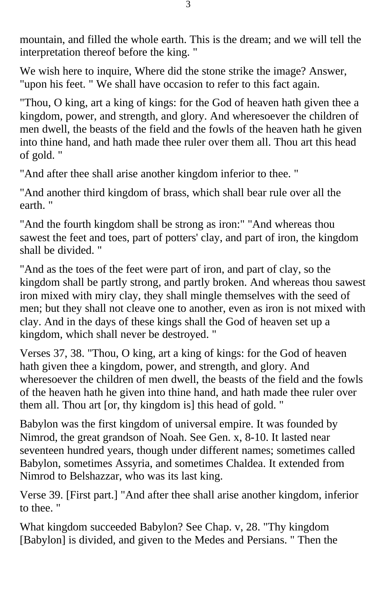mountain, and filled the whole earth. This is the dream; and we will tell the interpretation thereof before the king. "

We wish here to inquire, Where did the stone strike the image? Answer, "upon his feet. " We shall have occasion to refer to this fact again.

"Thou, O king, art a king of kings: for the God of heaven hath given thee a kingdom, power, and strength, and glory. And wheresoever the children of men dwell, the beasts of the field and the fowls of the heaven hath he given into thine hand, and hath made thee ruler over them all. Thou art this head of gold. "

"And after thee shall arise another kingdom inferior to thee. "

"And another third kingdom of brass, which shall bear rule over all the earth. "

"And the fourth kingdom shall be strong as iron:" "And whereas thou sawest the feet and toes, part of potters' clay, and part of iron, the kingdom shall be divided. "

"And as the toes of the feet were part of iron, and part of clay, so the kingdom shall be partly strong, and partly broken. And whereas thou sawest iron mixed with miry clay, they shall mingle themselves with the seed of men; but they shall not cleave one to another, even as iron is not mixed with clay. And in the days of these kings shall the God of heaven set up a kingdom, which shall never be destroyed. "

Verses 37, 38. "Thou, O king, art a king of kings: for the God of heaven hath given thee a kingdom, power, and strength, and glory. And wheresoever the children of men dwell, the beasts of the field and the fowls of the heaven hath he given into thine hand, and hath made thee ruler over them all. Thou art [or, thy kingdom is] this head of gold. "

Babylon was the first kingdom of universal empire. It was founded by Nimrod, the great grandson of Noah. See Gen. x, 8-10. It lasted near seventeen hundred years, though under different names; sometimes called Babylon, sometimes Assyria, and sometimes Chaldea. It extended from Nimrod to Belshazzar, who was its last king.

Verse 39. [First part.] "And after thee shall arise another kingdom, inferior to thee. "

What kingdom succeeded Babylon? See Chap. v, 28. "Thy kingdom [Babylon] is divided, and given to the Medes and Persians. " Then the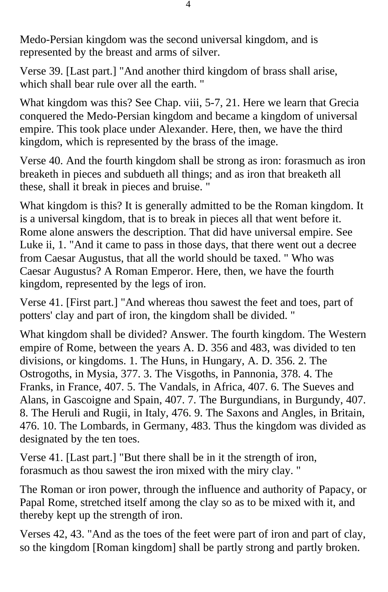Medo-Persian kingdom was the second universal kingdom, and is represented by the breast and arms of silver.

Verse 39. [Last part.] "And another third kingdom of brass shall arise, which shall bear rule over all the earth. "

What kingdom was this? See Chap. viii, 5-7, 21. Here we learn that Grecia conquered the Medo-Persian kingdom and became a kingdom of universal empire. This took place under Alexander. Here, then, we have the third kingdom, which is represented by the brass of the image.

Verse 40. And the fourth kingdom shall be strong as iron: forasmuch as iron breaketh in pieces and subdueth all things; and as iron that breaketh all these, shall it break in pieces and bruise. "

What kingdom is this? It is generally admitted to be the Roman kingdom. It is a universal kingdom, that is to break in pieces all that went before it. Rome alone answers the description. That did have universal empire. See Luke ii, 1. "And it came to pass in those days, that there went out a decree from Caesar Augustus, that all the world should be taxed. " Who was Caesar Augustus? A Roman Emperor. Here, then, we have the fourth kingdom, represented by the legs of iron.

Verse 41. [First part.] "And whereas thou sawest the feet and toes, part of potters' clay and part of iron, the kingdom shall be divided. "

What kingdom shall be divided? Answer. The fourth kingdom. The Western empire of Rome, between the years A. D. 356 and 483, was divided to ten divisions, or kingdoms. 1. The Huns, in Hungary, A. D. 356. 2. The Ostrogoths, in Mysia, 377. 3. The Visgoths, in Pannonia, 378. 4. The Franks, in France, 407. 5. The Vandals, in Africa, 407. 6. The Sueves and Alans, in Gascoigne and Spain, 407. 7. The Burgundians, in Burgundy, 407. 8. The Heruli and Rugii, in Italy, 476. 9. The Saxons and Angles, in Britain, 476. 10. The Lombards, in Germany, 483. Thus the kingdom was divided as designated by the ten toes.

Verse 41. [Last part.] "But there shall be in it the strength of iron, forasmuch as thou sawest the iron mixed with the miry clay. "

The Roman or iron power, through the influence and authority of Papacy, or Papal Rome, stretched itself among the clay so as to be mixed with it, and thereby kept up the strength of iron.

Verses 42, 43. "And as the toes of the feet were part of iron and part of clay, so the kingdom [Roman kingdom] shall be partly strong and partly broken.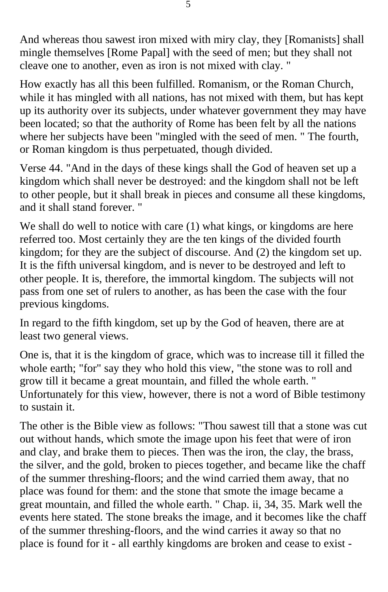And whereas thou sawest iron mixed with miry clay, they [Romanists] shall mingle themselves [Rome Papal] with the seed of men; but they shall not cleave one to another, even as iron is not mixed with clay. "

How exactly has all this been fulfilled. Romanism, or the Roman Church, while it has mingled with all nations, has not mixed with them, but has kept up its authority over its subjects, under whatever government they may have been located; so that the authority of Rome has been felt by all the nations where her subjects have been "mingled with the seed of men. " The fourth, or Roman kingdom is thus perpetuated, though divided.

Verse 44. "And in the days of these kings shall the God of heaven set up a kingdom which shall never be destroyed: and the kingdom shall not be left to other people, but it shall break in pieces and consume all these kingdoms, and it shall stand forever. "

We shall do well to notice with care  $(1)$  what kings, or kingdoms are here referred too. Most certainly they are the ten kings of the divided fourth kingdom; for they are the subject of discourse. And (2) the kingdom set up. It is the fifth universal kingdom, and is never to be destroyed and left to other people. It is, therefore, the immortal kingdom. The subjects will not pass from one set of rulers to another, as has been the case with the four previous kingdoms.

In regard to the fifth kingdom, set up by the God of heaven, there are at least two general views.

One is, that it is the kingdom of grace, which was to increase till it filled the whole earth; "for" say they who hold this view, "the stone was to roll and grow till it became a great mountain, and filled the whole earth. " Unfortunately for this view, however, there is not a word of Bible testimony to sustain it.

The other is the Bible view as follows: "Thou sawest till that a stone was cut out without hands, which smote the image upon his feet that were of iron and clay, and brake them to pieces. Then was the iron, the clay, the brass, the silver, and the gold, broken to pieces together, and became like the chaff of the summer threshing-floors; and the wind carried them away, that no place was found for them: and the stone that smote the image became a great mountain, and filled the whole earth. " Chap. ii, 34, 35. Mark well the events here stated. The stone breaks the image, and it becomes like the chaff of the summer threshing-floors, and the wind carries it away so that no place is found for it - all earthly kingdoms are broken and cease to exist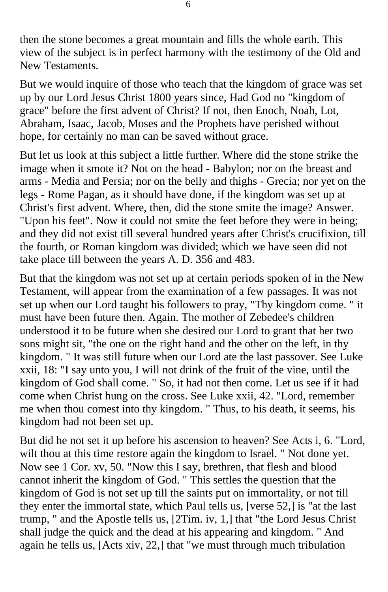then the stone becomes a great mountain and fills the whole earth. This view of the subject is in perfect harmony with the testimony of the Old and New Testaments.

But we would inquire of those who teach that the kingdom of grace was set up by our Lord Jesus Christ 1800 years since, Had God no "kingdom of grace" before the first advent of Christ? If not, then Enoch, Noah, Lot, Abraham, Isaac, Jacob, Moses and the Prophets have perished without hope, for certainly no man can be saved without grace.

But let us look at this subject a little further. Where did the stone strike the image when it smote it? Not on the head - Babylon; nor on the breast and arms - Media and Persia; nor on the belly and thighs - Grecia; nor yet on the legs - Rome Pagan, as it should have done, if the kingdom was set up at Christ's first advent. Where, then, did the stone smite the image? Answer. "Upon his feet". Now it could not smite the feet before they were in being; and they did not exist till several hundred years after Christ's crucifixion, till the fourth, or Roman kingdom was divided; which we have seen did not take place till between the years A. D. 356 and 483.

But that the kingdom was not set up at certain periods spoken of in the New Testament, will appear from the examination of a few passages. It was not set up when our Lord taught his followers to pray, "Thy kingdom come. " it must have been future then. Again. The mother of Zebedee's children understood it to be future when she desired our Lord to grant that her two sons might sit, "the one on the right hand and the other on the left, in thy kingdom. " It was still future when our Lord ate the last passover. See Luke xxii, 18: "I say unto you, I will not drink of the fruit of the vine, until the kingdom of God shall come. " So, it had not then come. Let us see if it had come when Christ hung on the cross. See Luke xxii, 42. "Lord, remember me when thou comest into thy kingdom. " Thus, to his death, it seems, his kingdom had not been set up.

But did he not set it up before his ascension to heaven? See Acts i, 6. "Lord, wilt thou at this time restore again the kingdom to Israel. " Not done yet. Now see 1 Cor. xv, 50. "Now this I say, brethren, that flesh and blood cannot inherit the kingdom of God. " This settles the question that the kingdom of God is not set up till the saints put on immortality, or not till they enter the immortal state, which Paul tells us, [verse 52,] is "at the last trump, " and the Apostle tells us, [2Tim. iv, 1,] that "the Lord Jesus Christ shall judge the quick and the dead at his appearing and kingdom. " And again he tells us, [Acts xiv, 22,] that "we must through much tribulation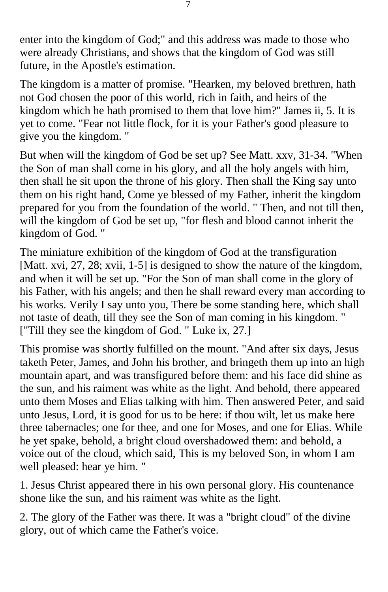enter into the kingdom of God;" and this address was made to those who were already Christians, and shows that the kingdom of God was still future, in the Apostle's estimation.

The kingdom is a matter of promise. "Hearken, my beloved brethren, hath not God chosen the poor of this world, rich in faith, and heirs of the kingdom which he hath promised to them that love him?" James ii, 5. It is yet to come. "Fear not little flock, for it is your Father's good pleasure to give you the kingdom. "

But when will the kingdom of God be set up? See Matt. xxv, 31-34. "When the Son of man shall come in his glory, and all the holy angels with him, then shall he sit upon the throne of his glory. Then shall the King say unto them on his right hand, Come ye blessed of my Father, inherit the kingdom prepared for you from the foundation of the world. " Then, and not till then, will the kingdom of God be set up, "for flesh and blood cannot inherit the kingdom of God. "

The miniature exhibition of the kingdom of God at the transfiguration [Matt. xvi, 27, 28; xvii, 1-5] is designed to show the nature of the kingdom, and when it will be set up. "For the Son of man shall come in the glory of his Father, with his angels; and then he shall reward every man according to his works. Verily I say unto you, There be some standing here, which shall not taste of death, till they see the Son of man coming in his kingdom. " ["Till they see the kingdom of God. " Luke ix, 27.]

This promise was shortly fulfilled on the mount. "And after six days, Jesus taketh Peter, James, and John his brother, and bringeth them up into an high mountain apart, and was transfigured before them: and his face did shine as the sun, and his raiment was white as the light. And behold, there appeared unto them Moses and Elias talking with him. Then answered Peter, and said unto Jesus, Lord, it is good for us to be here: if thou wilt, let us make here three tabernacles; one for thee, and one for Moses, and one for Elias. While he yet spake, behold, a bright cloud overshadowed them: and behold, a voice out of the cloud, which said, This is my beloved Son, in whom I am well pleased: hear ye him. "

1. Jesus Christ appeared there in his own personal glory. His countenance shone like the sun, and his raiment was white as the light.

2. The glory of the Father was there. It was a "bright cloud" of the divine glory, out of which came the Father's voice.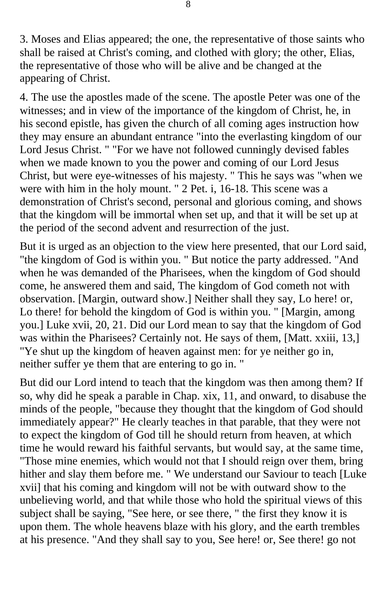3. Moses and Elias appeared; the one, the representative of those saints who shall be raised at Christ's coming, and clothed with glory; the other, Elias, the representative of those who will be alive and be changed at the appearing of Christ.

4. The use the apostles made of the scene. The apostle Peter was one of the witnesses; and in view of the importance of the kingdom of Christ, he, in his second epistle, has given the church of all coming ages instruction how they may ensure an abundant entrance "into the everlasting kingdom of our Lord Jesus Christ. " "For we have not followed cunningly devised fables when we made known to you the power and coming of our Lord Jesus Christ, but were eye-witnesses of his majesty. " This he says was "when we were with him in the holy mount. " 2 Pet. i, 16-18. This scene was a demonstration of Christ's second, personal and glorious coming, and shows that the kingdom will be immortal when set up, and that it will be set up at the period of the second advent and resurrection of the just.

But it is urged as an objection to the view here presented, that our Lord said, "the kingdom of God is within you. " But notice the party addressed. "And when he was demanded of the Pharisees, when the kingdom of God should come, he answered them and said, The kingdom of God cometh not with observation. [Margin, outward show.] Neither shall they say, Lo here! or, Lo there! for behold the kingdom of God is within you. " [Margin, among you.] Luke xvii, 20, 21. Did our Lord mean to say that the kingdom of God was within the Pharisees? Certainly not. He says of them, [Matt. xxiii, 13,] "Ye shut up the kingdom of heaven against men: for ye neither go in, neither suffer ye them that are entering to go in. "

But did our Lord intend to teach that the kingdom was then among them? If so, why did he speak a parable in Chap. xix, 11, and onward, to disabuse the minds of the people, "because they thought that the kingdom of God should immediately appear?" He clearly teaches in that parable, that they were not to expect the kingdom of God till he should return from heaven, at which time he would reward his faithful servants, but would say, at the same time, "Those mine enemies, which would not that I should reign over them, bring hither and slay them before me. " We understand our Saviour to teach [Luke xvii] that his coming and kingdom will not be with outward show to the unbelieving world, and that while those who hold the spiritual views of this subject shall be saying, "See here, or see there, " the first they know it is upon them. The whole heavens blaze with his glory, and the earth trembles at his presence. "And they shall say to you, See here! or, See there! go not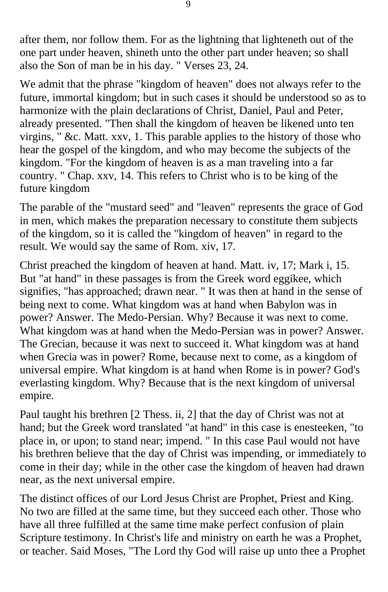after them, nor follow them. For as the lightning that lighteneth out of the one part under heaven, shineth unto the other part under heaven; so shall also the Son of man be in his day. " Verses 23, 24.

We admit that the phrase "kingdom of heaven" does not always refer to the future, immortal kingdom; but in such cases it should be understood so as to harmonize with the plain declarations of Christ, Daniel, Paul and Peter, already presented. "Then shall the kingdom of heaven be likened unto ten virgins, " &c. Matt. xxv, 1. This parable applies to the history of those who hear the gospel of the kingdom, and who may become the subjects of the kingdom. "For the kingdom of heaven is as a man traveling into a far country. " Chap. xxv, 14. This refers to Christ who is to be king of the future kingdom

The parable of the "mustard seed" and "leaven" represents the grace of God in men, which makes the preparation necessary to constitute them subjects of the kingdom, so it is called the "kingdom of heaven" in regard to the result. We would say the same of Rom. xiv, 17.

Christ preached the kingdom of heaven at hand. Matt. iv, 17; Mark i, 15. But "at hand" in these passages is from the Greek word eggikee, which signifies, "has approached; drawn near. " It was then at hand in the sense of being next to come. What kingdom was at hand when Babylon was in power? Answer. The Medo-Persian. Why? Because it was next to come. What kingdom was at hand when the Medo-Persian was in power? Answer. The Grecian, because it was next to succeed it. What kingdom was at hand when Grecia was in power? Rome, because next to come, as a kingdom of universal empire. What kingdom is at hand when Rome is in power? God's everlasting kingdom. Why? Because that is the next kingdom of universal empire.

Paul taught his brethren [2 Thess. ii, 2] that the day of Christ was not at hand; but the Greek word translated "at hand" in this case is enesteeken, "to place in, or upon; to stand near; impend. " In this case Paul would not have his brethren believe that the day of Christ was impending, or immediately to come in their day; while in the other case the kingdom of heaven had drawn near, as the next universal empire.

The distinct offices of our Lord Jesus Christ are Prophet, Priest and King. No two are filled at the same time, but they succeed each other. Those who have all three fulfilled at the same time make perfect confusion of plain Scripture testimony. In Christ's life and ministry on earth he was a Prophet, or teacher. Said Moses, "The Lord thy God will raise up unto thee a Prophet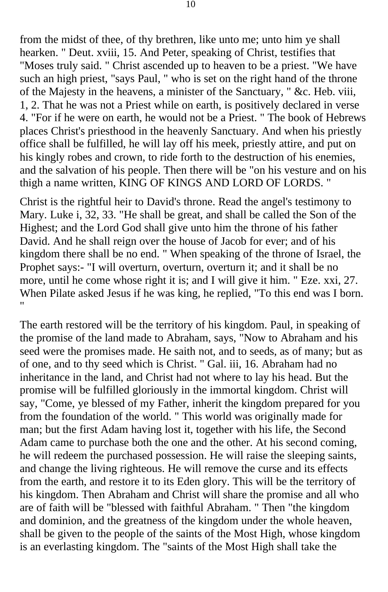from the midst of thee, of thy brethren, like unto me; unto him ye shall hearken. " Deut. xviii, 15. And Peter, speaking of Christ, testifies that "Moses truly said. " Christ ascended up to heaven to be a priest. "We have such an high priest, "says Paul, " who is set on the right hand of the throne of the Majesty in the heavens, a minister of the Sanctuary, " &c. Heb. viii, 1, 2. That he was not a Priest while on earth, is positively declared in verse 4. "For if he were on earth, he would not be a Priest. " The book of Hebrews places Christ's priesthood in the heavenly Sanctuary. And when his priestly office shall be fulfilled, he will lay off his meek, priestly attire, and put on his kingly robes and crown, to ride forth to the destruction of his enemies, and the salvation of his people. Then there will be "on his vesture and on his thigh a name written, KING OF KINGS AND LORD OF LORDS. "

Christ is the rightful heir to David's throne. Read the angel's testimony to Mary. Luke i, 32, 33. "He shall be great, and shall be called the Son of the Highest; and the Lord God shall give unto him the throne of his father David. And he shall reign over the house of Jacob for ever; and of his kingdom there shall be no end. " When speaking of the throne of Israel, the Prophet says:- "I will overturn, overturn, overturn it; and it shall be no more, until he come whose right it is; and I will give it him. " Eze. xxi, 27. When Pilate asked Jesus if he was king, he replied, "To this end was I born. "

The earth restored will be the territory of his kingdom. Paul, in speaking of the promise of the land made to Abraham, says, "Now to Abraham and his seed were the promises made. He saith not, and to seeds, as of many; but as of one, and to thy seed which is Christ. " Gal. iii, 16. Abraham had no inheritance in the land, and Christ had not where to lay his head. But the promise will be fulfilled gloriously in the immortal kingdom. Christ will say, "Come, ye blessed of my Father, inherit the kingdom prepared for you from the foundation of the world. " This world was originally made for man; but the first Adam having lost it, together with his life, the Second Adam came to purchase both the one and the other. At his second coming, he will redeem the purchased possession. He will raise the sleeping saints, and change the living righteous. He will remove the curse and its effects from the earth, and restore it to its Eden glory. This will be the territory of his kingdom. Then Abraham and Christ will share the promise and all who are of faith will be "blessed with faithful Abraham. " Then "the kingdom and dominion, and the greatness of the kingdom under the whole heaven, shall be given to the people of the saints of the Most High, whose kingdom is an everlasting kingdom. The "saints of the Most High shall take the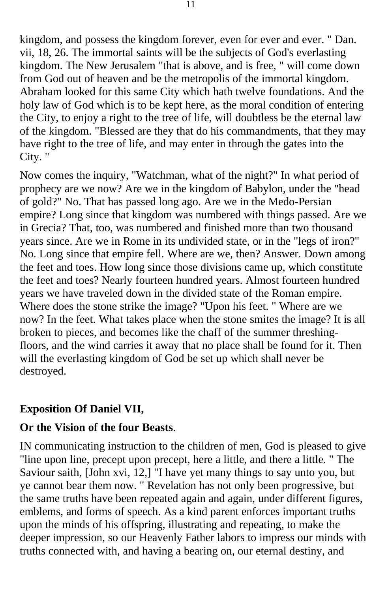kingdom, and possess the kingdom forever, even for ever and ever. " Dan. vii, 18, 26. The immortal saints will be the subjects of God's everlasting kingdom. The New Jerusalem "that is above, and is free, " will come down from God out of heaven and be the metropolis of the immortal kingdom. Abraham looked for this same City which hath twelve foundations. And the holy law of God which is to be kept here, as the moral condition of entering the City, to enjoy a right to the tree of life, will doubtless be the eternal law of the kingdom. "Blessed are they that do his commandments, that they may have right to the tree of life, and may enter in through the gates into the City. "

Now comes the inquiry, "Watchman, what of the night?" In what period of prophecy are we now? Are we in the kingdom of Babylon, under the "head of gold?" No. That has passed long ago. Are we in the Medo-Persian empire? Long since that kingdom was numbered with things passed. Are we in Grecia? That, too, was numbered and finished more than two thousand years since. Are we in Rome in its undivided state, or in the "legs of iron?" No. Long since that empire fell. Where are we, then? Answer. Down among the feet and toes. How long since those divisions came up, which constitute the feet and toes? Nearly fourteen hundred years. Almost fourteen hundred years we have traveled down in the divided state of the Roman empire. Where does the stone strike the image? "Upon his feet. " Where are we now? In the feet. What takes place when the stone smites the image? It is all broken to pieces, and becomes like the chaff of the summer threshingfloors, and the wind carries it away that no place shall be found for it. Then will the everlasting kingdom of God be set up which shall never be destroyed.

#### **Exposition Of Daniel VII,**

#### **Or the Vision of the four Beasts**.

IN communicating instruction to the children of men, God is pleased to give "line upon line, precept upon precept, here a little, and there a little. " The Saviour saith, [John xvi, 12,] "I have yet many things to say unto you, but ye cannot bear them now. " Revelation has not only been progressive, but the same truths have been repeated again and again, under different figures, emblems, and forms of speech. As a kind parent enforces important truths upon the minds of his offspring, illustrating and repeating, to make the deeper impression, so our Heavenly Father labors to impress our minds with truths connected with, and having a bearing on, our eternal destiny, and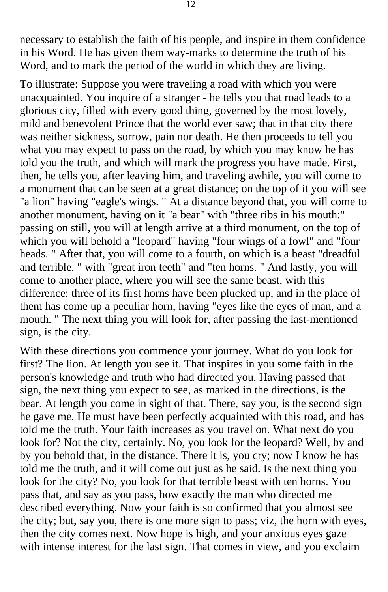necessary to establish the faith of his people, and inspire in them confidence in his Word. He has given them way-marks to determine the truth of his Word, and to mark the period of the world in which they are living.

To illustrate: Suppose you were traveling a road with which you were unacquainted. You inquire of a stranger - he tells you that road leads to a glorious city, filled with every good thing, governed by the most lovely, mild and benevolent Prince that the world ever saw; that in that city there was neither sickness, sorrow, pain nor death. He then proceeds to tell you what you may expect to pass on the road, by which you may know he has told you the truth, and which will mark the progress you have made. First, then, he tells you, after leaving him, and traveling awhile, you will come to a monument that can be seen at a great distance; on the top of it you will see "a lion" having "eagle's wings. " At a distance beyond that, you will come to another monument, having on it "a bear" with "three ribs in his mouth:" passing on still, you will at length arrive at a third monument, on the top of which you will behold a "leopard" having "four wings of a fowl" and "four heads. " After that, you will come to a fourth, on which is a beast "dreadful and terrible, " with "great iron teeth" and "ten horns. " And lastly, you will come to another place, where you will see the same beast, with this difference; three of its first horns have been plucked up, and in the place of them has come up a peculiar horn, having "eyes like the eyes of man, and a mouth. " The next thing you will look for, after passing the last-mentioned sign, is the city.

With these directions you commence your journey. What do you look for first? The lion. At length you see it. That inspires in you some faith in the person's knowledge and truth who had directed you. Having passed that sign, the next thing you expect to see, as marked in the directions, is the bear. At length you come in sight of that. There, say you, is the second sign he gave me. He must have been perfectly acquainted with this road, and has told me the truth. Your faith increases as you travel on. What next do you look for? Not the city, certainly. No, you look for the leopard? Well, by and by you behold that, in the distance. There it is, you cry; now I know he has told me the truth, and it will come out just as he said. Is the next thing you look for the city? No, you look for that terrible beast with ten horns. You pass that, and say as you pass, how exactly the man who directed me described everything. Now your faith is so confirmed that you almost see the city; but, say you, there is one more sign to pass; viz, the horn with eyes, then the city comes next. Now hope is high, and your anxious eyes gaze with intense interest for the last sign. That comes in view, and you exclaim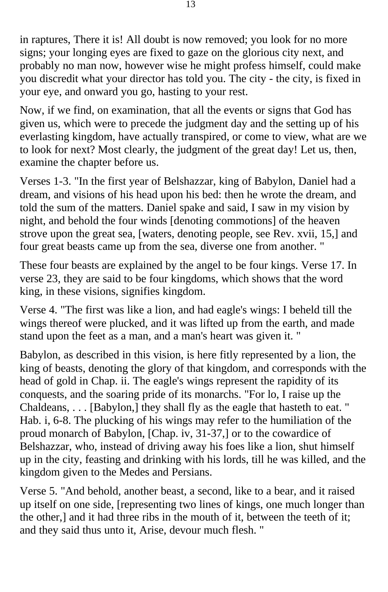in raptures, There it is! All doubt is now removed; you look for no more signs; your longing eyes are fixed to gaze on the glorious city next, and probably no man now, however wise he might profess himself, could make you discredit what your director has told you. The city - the city, is fixed in your eye, and onward you go, hasting to your rest.

Now, if we find, on examination, that all the events or signs that God has given us, which were to precede the judgment day and the setting up of his everlasting kingdom, have actually transpired, or come to view, what are we to look for next? Most clearly, the judgment of the great day! Let us, then, examine the chapter before us.

Verses 1-3. "In the first year of Belshazzar, king of Babylon, Daniel had a dream, and visions of his head upon his bed: then he wrote the dream, and told the sum of the matters. Daniel spake and said, I saw in my vision by night, and behold the four winds [denoting commotions] of the heaven strove upon the great sea, [waters, denoting people, see Rev. xvii, 15,] and four great beasts came up from the sea, diverse one from another. "

These four beasts are explained by the angel to be four kings. Verse 17. In verse 23, they are said to be four kingdoms, which shows that the word king, in these visions, signifies kingdom.

Verse 4. "The first was like a lion, and had eagle's wings: I beheld till the wings thereof were plucked, and it was lifted up from the earth, and made stand upon the feet as a man, and a man's heart was given it. "

Babylon, as described in this vision, is here fitly represented by a lion, the king of beasts, denoting the glory of that kingdom, and corresponds with the head of gold in Chap. ii. The eagle's wings represent the rapidity of its conquests, and the soaring pride of its monarchs. "For lo, I raise up the Chaldeans, . . . [Babylon,] they shall fly as the eagle that hasteth to eat. " Hab. i, 6-8. The plucking of his wings may refer to the humiliation of the proud monarch of Babylon, [Chap. iv, 31-37,] or to the cowardice of Belshazzar, who, instead of driving away his foes like a lion, shut himself up in the city, feasting and drinking with his lords, till he was killed, and the kingdom given to the Medes and Persians.

Verse 5. "And behold, another beast, a second, like to a bear, and it raised up itself on one side, [representing two lines of kings, one much longer than the other,] and it had three ribs in the mouth of it, between the teeth of it; and they said thus unto it, Arise, devour much flesh. "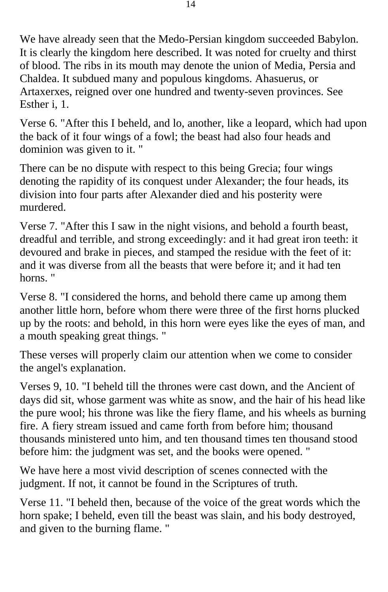We have already seen that the Medo-Persian kingdom succeeded Babylon. It is clearly the kingdom here described. It was noted for cruelty and thirst of blood. The ribs in its mouth may denote the union of Media, Persia and Chaldea. It subdued many and populous kingdoms. Ahasuerus, or Artaxerxes, reigned over one hundred and twenty-seven provinces. See Esther i, 1.

Verse 6. "After this I beheld, and lo, another, like a leopard, which had upon the back of it four wings of a fowl; the beast had also four heads and dominion was given to it. "

There can be no dispute with respect to this being Grecia; four wings denoting the rapidity of its conquest under Alexander; the four heads, its division into four parts after Alexander died and his posterity were murdered.

Verse 7. "After this I saw in the night visions, and behold a fourth beast, dreadful and terrible, and strong exceedingly: and it had great iron teeth: it devoured and brake in pieces, and stamped the residue with the feet of it: and it was diverse from all the beasts that were before it; and it had ten horns. "

Verse 8. "I considered the horns, and behold there came up among them another little horn, before whom there were three of the first horns plucked up by the roots: and behold, in this horn were eyes like the eyes of man, and a mouth speaking great things. "

These verses will properly claim our attention when we come to consider the angel's explanation.

Verses 9, 10. "I beheld till the thrones were cast down, and the Ancient of days did sit, whose garment was white as snow, and the hair of his head like the pure wool; his throne was like the fiery flame, and his wheels as burning fire. A fiery stream issued and came forth from before him; thousand thousands ministered unto him, and ten thousand times ten thousand stood before him: the judgment was set, and the books were opened. "

We have here a most vivid description of scenes connected with the judgment. If not, it cannot be found in the Scriptures of truth.

Verse 11. "I beheld then, because of the voice of the great words which the horn spake; I beheld, even till the beast was slain, and his body destroyed, and given to the burning flame. "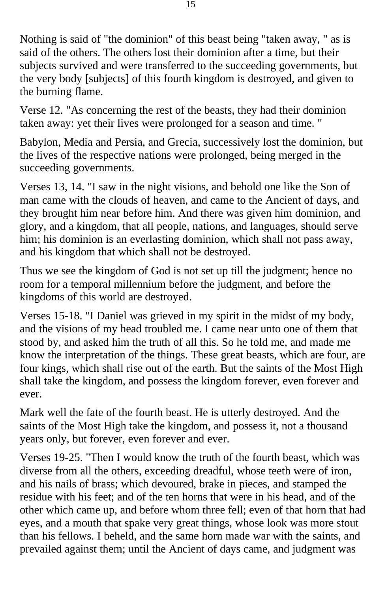Nothing is said of "the dominion" of this beast being "taken away, " as is said of the others. The others lost their dominion after a time, but their subjects survived and were transferred to the succeeding governments, but the very body [subjects] of this fourth kingdom is destroyed, and given to the burning flame.

Verse 12. "As concerning the rest of the beasts, they had their dominion taken away: yet their lives were prolonged for a season and time. "

Babylon, Media and Persia, and Grecia, successively lost the dominion, but the lives of the respective nations were prolonged, being merged in the succeeding governments.

Verses 13, 14. "I saw in the night visions, and behold one like the Son of man came with the clouds of heaven, and came to the Ancient of days, and they brought him near before him. And there was given him dominion, and glory, and a kingdom, that all people, nations, and languages, should serve him; his dominion is an everlasting dominion, which shall not pass away, and his kingdom that which shall not be destroyed.

Thus we see the kingdom of God is not set up till the judgment; hence no room for a temporal millennium before the judgment, and before the kingdoms of this world are destroyed.

Verses 15-18. "I Daniel was grieved in my spirit in the midst of my body, and the visions of my head troubled me. I came near unto one of them that stood by, and asked him the truth of all this. So he told me, and made me know the interpretation of the things. These great beasts, which are four, are four kings, which shall rise out of the earth. But the saints of the Most High shall take the kingdom, and possess the kingdom forever, even forever and ever.

Mark well the fate of the fourth beast. He is utterly destroyed. And the saints of the Most High take the kingdom, and possess it, not a thousand years only, but forever, even forever and ever.

Verses 19-25. "Then I would know the truth of the fourth beast, which was diverse from all the others, exceeding dreadful, whose teeth were of iron, and his nails of brass; which devoured, brake in pieces, and stamped the residue with his feet; and of the ten horns that were in his head, and of the other which came up, and before whom three fell; even of that horn that had eyes, and a mouth that spake very great things, whose look was more stout than his fellows. I beheld, and the same horn made war with the saints, and prevailed against them; until the Ancient of days came, and judgment was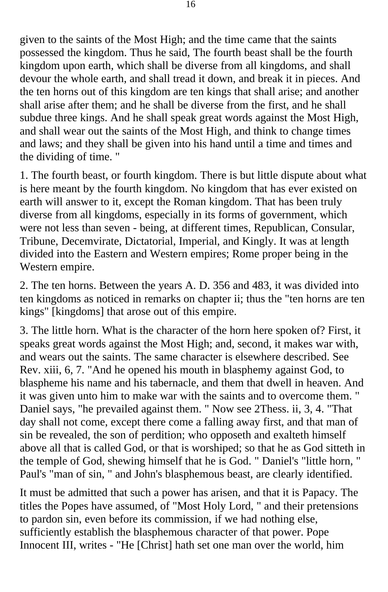given to the saints of the Most High; and the time came that the saints possessed the kingdom. Thus he said, The fourth beast shall be the fourth kingdom upon earth, which shall be diverse from all kingdoms, and shall devour the whole earth, and shall tread it down, and break it in pieces. And the ten horns out of this kingdom are ten kings that shall arise; and another shall arise after them; and he shall be diverse from the first, and he shall subdue three kings. And he shall speak great words against the Most High, and shall wear out the saints of the Most High, and think to change times and laws; and they shall be given into his hand until a time and times and the dividing of time. "

1. The fourth beast, or fourth kingdom. There is but little dispute about what is here meant by the fourth kingdom. No kingdom that has ever existed on earth will answer to it, except the Roman kingdom. That has been truly diverse from all kingdoms, especially in its forms of government, which were not less than seven - being, at different times, Republican, Consular, Tribune, Decemvirate, Dictatorial, Imperial, and Kingly. It was at length divided into the Eastern and Western empires; Rome proper being in the Western empire.

2. The ten horns. Between the years A. D. 356 and 483, it was divided into ten kingdoms as noticed in remarks on chapter ii; thus the "ten horns are ten kings" [kingdoms] that arose out of this empire.

3. The little horn. What is the character of the horn here spoken of? First, it speaks great words against the Most High; and, second, it makes war with, and wears out the saints. The same character is elsewhere described. See Rev. xiii, 6, 7. "And he opened his mouth in blasphemy against God, to blaspheme his name and his tabernacle, and them that dwell in heaven. And it was given unto him to make war with the saints and to overcome them. " Daniel says, "he prevailed against them. " Now see 2Thess. ii, 3, 4. "That day shall not come, except there come a falling away first, and that man of sin be revealed, the son of perdition; who opposeth and exalteth himself above all that is called God, or that is worshiped; so that he as God sitteth in the temple of God, shewing himself that he is God. " Daniel's "little horn, " Paul's "man of sin, " and John's blasphemous beast, are clearly identified.

It must be admitted that such a power has arisen, and that it is Papacy. The titles the Popes have assumed, of "Most Holy Lord, " and their pretensions to pardon sin, even before its commission, if we had nothing else, sufficiently establish the blasphemous character of that power. Pope Innocent III, writes - "He [Christ] hath set one man over the world, him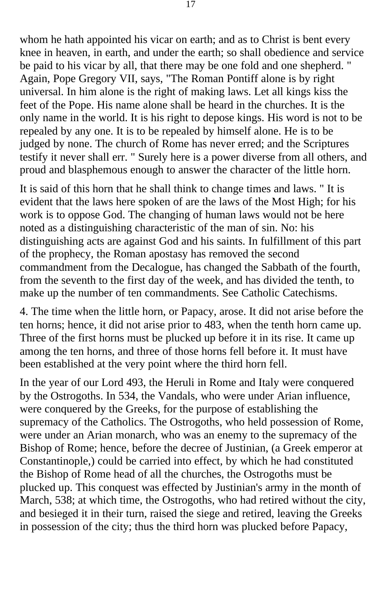whom he hath appointed his vicar on earth; and as to Christ is bent every knee in heaven, in earth, and under the earth; so shall obedience and service be paid to his vicar by all, that there may be one fold and one shepherd. " Again, Pope Gregory VII, says, "The Roman Pontiff alone is by right universal. In him alone is the right of making laws. Let all kings kiss the feet of the Pope. His name alone shall be heard in the churches. It is the only name in the world. It is his right to depose kings. His word is not to be repealed by any one. It is to be repealed by himself alone. He is to be judged by none. The church of Rome has never erred; and the Scriptures testify it never shall err. " Surely here is a power diverse from all others, and proud and blasphemous enough to answer the character of the little horn.

It is said of this horn that he shall think to change times and laws. " It is evident that the laws here spoken of are the laws of the Most High; for his work is to oppose God. The changing of human laws would not be here noted as a distinguishing characteristic of the man of sin. No: his distinguishing acts are against God and his saints. In fulfillment of this part of the prophecy, the Roman apostasy has removed the second commandment from the Decalogue, has changed the Sabbath of the fourth, from the seventh to the first day of the week, and has divided the tenth, to make up the number of ten commandments. See Catholic Catechisms.

4. The time when the little horn, or Papacy, arose. It did not arise before the ten horns; hence, it did not arise prior to 483, when the tenth horn came up. Three of the first horns must be plucked up before it in its rise. It came up among the ten horns, and three of those horns fell before it. It must have been established at the very point where the third horn fell.

In the year of our Lord 493, the Heruli in Rome and Italy were conquered by the Ostrogoths. In 534, the Vandals, who were under Arian influence, were conquered by the Greeks, for the purpose of establishing the supremacy of the Catholics. The Ostrogoths, who held possession of Rome, were under an Arian monarch, who was an enemy to the supremacy of the Bishop of Rome; hence, before the decree of Justinian, (a Greek emperor at Constantinople,) could be carried into effect, by which he had constituted the Bishop of Rome head of all the churches, the Ostrogoths must be plucked up. This conquest was effected by Justinian's army in the month of March, 538; at which time, the Ostrogoths, who had retired without the city, and besieged it in their turn, raised the siege and retired, leaving the Greeks in possession of the city; thus the third horn was plucked before Papacy,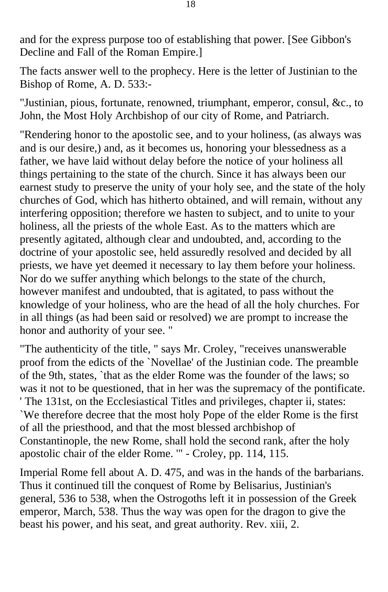and for the express purpose too of establishing that power. [See Gibbon's Decline and Fall of the Roman Empire.]

The facts answer well to the prophecy. Here is the letter of Justinian to the Bishop of Rome, A. D. 533:-

"Justinian, pious, fortunate, renowned, triumphant, emperor, consul, &c., to John, the Most Holy Archbishop of our city of Rome, and Patriarch.

"Rendering honor to the apostolic see, and to your holiness, (as always was and is our desire,) and, as it becomes us, honoring your blessedness as a father, we have laid without delay before the notice of your holiness all things pertaining to the state of the church. Since it has always been our earnest study to preserve the unity of your holy see, and the state of the holy churches of God, which has hitherto obtained, and will remain, without any interfering opposition; therefore we hasten to subject, and to unite to your holiness, all the priests of the whole East. As to the matters which are presently agitated, although clear and undoubted, and, according to the doctrine of your apostolic see, held assuredly resolved and decided by all priests, we have yet deemed it necessary to lay them before your holiness. Nor do we suffer anything which belongs to the state of the church, however manifest and undoubted, that is agitated, to pass without the knowledge of your holiness, who are the head of all the holy churches. For in all things (as had been said or resolved) we are prompt to increase the honor and authority of your see. "

"The authenticity of the title, " says Mr. Croley, "receives unanswerable proof from the edicts of the `Novellae' of the Justinian code. The preamble of the 9th, states, `that as the elder Rome was the founder of the laws; so was it not to be questioned, that in her was the supremacy of the pontificate. ' The 131st, on the Ecclesiastical Titles and privileges, chapter ii, states: `We therefore decree that the most holy Pope of the elder Rome is the first of all the priesthood, and that the most blessed archbishop of Constantinople, the new Rome, shall hold the second rank, after the holy apostolic chair of the elder Rome. '" - Croley, pp. 114, 115.

Imperial Rome fell about A. D. 475, and was in the hands of the barbarians. Thus it continued till the conquest of Rome by Belisarius, Justinian's general, 536 to 538, when the Ostrogoths left it in possession of the Greek emperor, March, 538. Thus the way was open for the dragon to give the beast his power, and his seat, and great authority. Rev. xiii, 2.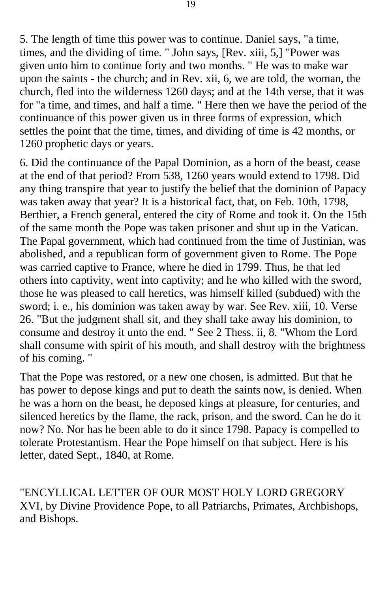5. The length of time this power was to continue. Daniel says, "a time, times, and the dividing of time. " John says, [Rev. xiii, 5,] "Power was given unto him to continue forty and two months. " He was to make war upon the saints - the church; and in Rev. xii, 6, we are told, the woman, the church, fled into the wilderness 1260 days; and at the 14th verse, that it was for "a time, and times, and half a time. " Here then we have the period of the continuance of this power given us in three forms of expression, which settles the point that the time, times, and dividing of time is 42 months, or 1260 prophetic days or years.

6. Did the continuance of the Papal Dominion, as a horn of the beast, cease at the end of that period? From 538, 1260 years would extend to 1798. Did any thing transpire that year to justify the belief that the dominion of Papacy was taken away that year? It is a historical fact, that, on Feb. 10th, 1798, Berthier, a French general, entered the city of Rome and took it. On the 15th of the same month the Pope was taken prisoner and shut up in the Vatican. The Papal government, which had continued from the time of Justinian, was abolished, and a republican form of government given to Rome. The Pope was carried captive to France, where he died in 1799. Thus, he that led others into captivity, went into captivity; and he who killed with the sword, those he was pleased to call heretics, was himself killed (subdued) with the sword; i. e., his dominion was taken away by war. See Rev. xiii, 10. Verse 26. "But the judgment shall sit, and they shall take away his dominion, to consume and destroy it unto the end. " See 2 Thess. ii, 8. "Whom the Lord shall consume with spirit of his mouth, and shall destroy with the brightness of his coming. "

That the Pope was restored, or a new one chosen, is admitted. But that he has power to depose kings and put to death the saints now, is denied. When he was a horn on the beast, he deposed kings at pleasure, for centuries, and silenced heretics by the flame, the rack, prison, and the sword. Can he do it now? No. Nor has he been able to do it since 1798. Papacy is compelled to tolerate Protestantism. Hear the Pope himself on that subject. Here is his letter, dated Sept., 1840, at Rome.

"ENCYLLICAL LETTER OF OUR MOST HOLY LORD GREGORY XVI, by Divine Providence Pope, to all Patriarchs, Primates, Archbishops, and Bishops.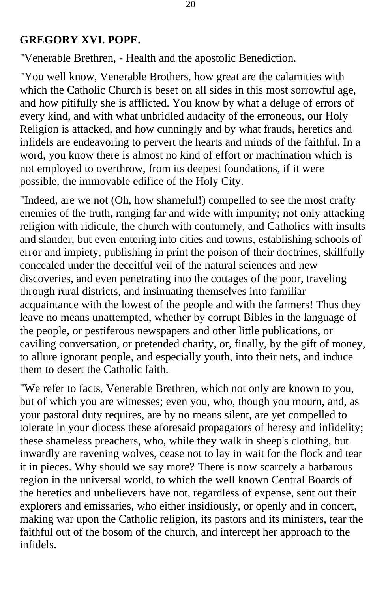#### **GREGORY XVI. POPE.**

"Venerable Brethren, - Health and the apostolic Benediction.

"You well know, Venerable Brothers, how great are the calamities with which the Catholic Church is beset on all sides in this most sorrowful age, and how pitifully she is afflicted. You know by what a deluge of errors of every kind, and with what unbridled audacity of the erroneous, our Holy Religion is attacked, and how cunningly and by what frauds, heretics and infidels are endeavoring to pervert the hearts and minds of the faithful. In a word, you know there is almost no kind of effort or machination which is not employed to overthrow, from its deepest foundations, if it were possible, the immovable edifice of the Holy City.

"Indeed, are we not (Oh, how shameful!) compelled to see the most crafty enemies of the truth, ranging far and wide with impunity; not only attacking religion with ridicule, the church with contumely, and Catholics with insults and slander, but even entering into cities and towns, establishing schools of error and impiety, publishing in print the poison of their doctrines, skillfully concealed under the deceitful veil of the natural sciences and new discoveries, and even penetrating into the cottages of the poor, traveling through rural districts, and insinuating themselves into familiar acquaintance with the lowest of the people and with the farmers! Thus they leave no means unattempted, whether by corrupt Bibles in the language of the people, or pestiferous newspapers and other little publications, or caviling conversation, or pretended charity, or, finally, by the gift of money, to allure ignorant people, and especially youth, into their nets, and induce them to desert the Catholic faith.

"We refer to facts, Venerable Brethren, which not only are known to you, but of which you are witnesses; even you, who, though you mourn, and, as your pastoral duty requires, are by no means silent, are yet compelled to tolerate in your diocess these aforesaid propagators of heresy and infidelity; these shameless preachers, who, while they walk in sheep's clothing, but inwardly are ravening wolves, cease not to lay in wait for the flock and tear it in pieces. Why should we say more? There is now scarcely a barbarous region in the universal world, to which the well known Central Boards of the heretics and unbelievers have not, regardless of expense, sent out their explorers and emissaries, who either insidiously, or openly and in concert, making war upon the Catholic religion, its pastors and its ministers, tear the faithful out of the bosom of the church, and intercept her approach to the infidels.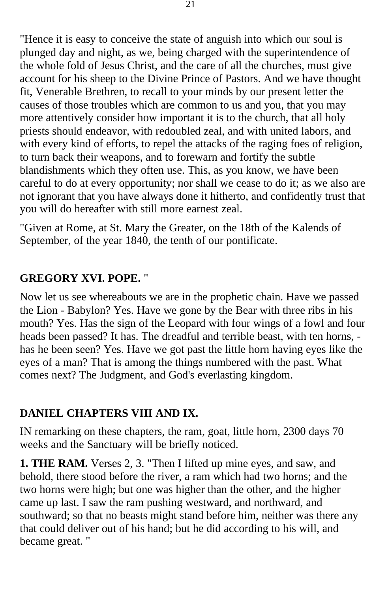"Hence it is easy to conceive the state of anguish into which our soul is plunged day and night, as we, being charged with the superintendence of the whole fold of Jesus Christ, and the care of all the churches, must give account for his sheep to the Divine Prince of Pastors. And we have thought fit, Venerable Brethren, to recall to your minds by our present letter the causes of those troubles which are common to us and you, that you may more attentively consider how important it is to the church, that all holy priests should endeavor, with redoubled zeal, and with united labors, and with every kind of efforts, to repel the attacks of the raging foes of religion, to turn back their weapons, and to forewarn and fortify the subtle blandishments which they often use. This, as you know, we have been careful to do at every opportunity; nor shall we cease to do it; as we also are not ignorant that you have always done it hitherto, and confidently trust that you will do hereafter with still more earnest zeal.

"Given at Rome, at St. Mary the Greater, on the 18th of the Kalends of September, of the year 1840, the tenth of our pontificate.

### **GREGORY XVI. POPE.** "

Now let us see whereabouts we are in the prophetic chain. Have we passed the Lion - Babylon? Yes. Have we gone by the Bear with three ribs in his mouth? Yes. Has the sign of the Leopard with four wings of a fowl and four heads been passed? It has. The dreadful and terrible beast, with ten horns, has he been seen? Yes. Have we got past the little horn having eyes like the eyes of a man? That is among the things numbered with the past. What comes next? The Judgment, and God's everlasting kingdom.

### **DANIEL CHAPTERS VIII AND IX.**

IN remarking on these chapters, the ram, goat, little horn, 2300 days 70 weeks and the Sanctuary will be briefly noticed.

**1. THE RAM.** Verses 2, 3. "Then I lifted up mine eyes, and saw, and behold, there stood before the river, a ram which had two horns; and the two horns were high; but one was higher than the other, and the higher came up last. I saw the ram pushing westward, and northward, and southward; so that no beasts might stand before him, neither was there any that could deliver out of his hand; but he did according to his will, and became great. "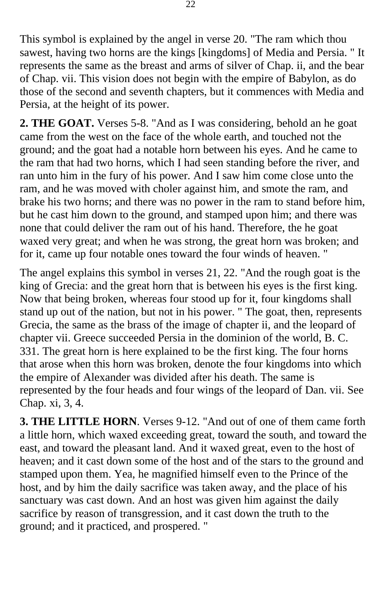This symbol is explained by the angel in verse 20. "The ram which thou sawest, having two horns are the kings [kingdoms] of Media and Persia. " It represents the same as the breast and arms of silver of Chap. ii, and the bear of Chap. vii. This vision does not begin with the empire of Babylon, as do those of the second and seventh chapters, but it commences with Media and Persia, at the height of its power.

**2. THE GOAT.** Verses 5-8. "And as I was considering, behold an he goat came from the west on the face of the whole earth, and touched not the ground; and the goat had a notable horn between his eyes. And he came to the ram that had two horns, which I had seen standing before the river, and ran unto him in the fury of his power. And I saw him come close unto the ram, and he was moved with choler against him, and smote the ram, and brake his two horns; and there was no power in the ram to stand before him, but he cast him down to the ground, and stamped upon him; and there was none that could deliver the ram out of his hand. Therefore, the he goat waxed very great; and when he was strong, the great horn was broken; and for it, came up four notable ones toward the four winds of heaven. "

The angel explains this symbol in verses 21, 22. "And the rough goat is the king of Grecia: and the great horn that is between his eyes is the first king. Now that being broken, whereas four stood up for it, four kingdoms shall stand up out of the nation, but not in his power. " The goat, then, represents Grecia, the same as the brass of the image of chapter ii, and the leopard of chapter vii. Greece succeeded Persia in the dominion of the world, B. C. 331. The great horn is here explained to be the first king. The four horns that arose when this horn was broken, denote the four kingdoms into which the empire of Alexander was divided after his death. The same is represented by the four heads and four wings of the leopard of Dan. vii. See Chap. xi, 3, 4.

**3. THE LITTLE HORN**. Verses 9-12. "And out of one of them came forth a little horn, which waxed exceeding great, toward the south, and toward the east, and toward the pleasant land. And it waxed great, even to the host of heaven; and it cast down some of the host and of the stars to the ground and stamped upon them. Yea, he magnified himself even to the Prince of the host, and by him the daily sacrifice was taken away, and the place of his sanctuary was cast down. And an host was given him against the daily sacrifice by reason of transgression, and it cast down the truth to the ground; and it practiced, and prospered. "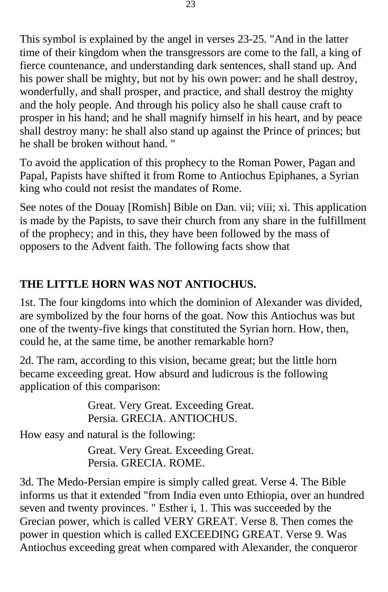This symbol is explained by the angel in verses 23-25. "And in the latter time of their kingdom when the transgressors are come to the fall, a king of fierce countenance, and understanding dark sentences, shall stand up. And his power shall be mighty, but not by his own power: and he shall destroy, wonderfully, and shall prosper, and practice, and shall destroy the mighty and the holy people. And through his policy also he shall cause craft to prosper in his hand; and he shall magnify himself in his heart, and by peace shall destroy many: he shall also stand up against the Prince of princes; but he shall be broken without hand. "

To avoid the application of this prophecy to the Roman Power, Pagan and Papal, Papists have shifted it from Rome to Antiochus Epiphanes, a Syrian king who could not resist the mandates of Rome.

See notes of the Douay [Romish] Bible on Dan. vii; viii; xi. This application is made by the Papists, to save their church from any share in the fulfillment of the prophecy; and in this, they have been followed by the mass of opposers to the Advent faith. The following facts show that

# **THE LITTLE HORN WAS NOT ANTIOCHUS.**

1st. The four kingdoms into which the dominion of Alexander was divided, are symbolized by the four horns of the goat. Now this Antiochus was but one of the twenty-five kings that constituted the Syrian horn. How, then, could he, at the same time, be another remarkable horn?

2d. The ram, according to this vision, became great; but the little horn became exceeding great. How absurd and ludicrous is the following application of this comparison:

> Great. Very Great. Exceeding Great. Persia. GRECIA. ANTIOCHUS.

How easy and natural is the following:

Great. Very Great. Exceeding Great. Persia. GRECIA. ROME.

3d. The Medo-Persian empire is simply called great. Verse 4. The Bible informs us that it extended "from India even unto Ethiopia, over an hundred seven and twenty provinces. " Esther i, 1. This was succeeded by the Grecian power, which is called VERY GREAT. Verse 8. Then comes the power in question which is called EXCEEDING GREAT. Verse 9. Was Antiochus exceeding great when compared with Alexander, the conqueror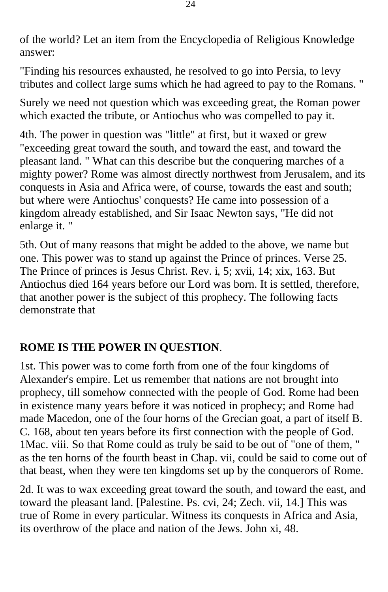of the world? Let an item from the Encyclopedia of Religious Knowledge answer:

"Finding his resources exhausted, he resolved to go into Persia, to levy tributes and collect large sums which he had agreed to pay to the Romans. "

Surely we need not question which was exceeding great, the Roman power which exacted the tribute, or Antiochus who was compelled to pay it.

4th. The power in question was "little" at first, but it waxed or grew "exceeding great toward the south, and toward the east, and toward the pleasant land. " What can this describe but the conquering marches of a mighty power? Rome was almost directly northwest from Jerusalem, and its conquests in Asia and Africa were, of course, towards the east and south; but where were Antiochus' conquests? He came into possession of a kingdom already established, and Sir Isaac Newton says, "He did not enlarge it. "

5th. Out of many reasons that might be added to the above, we name but one. This power was to stand up against the Prince of princes. Verse 25. The Prince of princes is Jesus Christ. Rev. i, 5; xvii, 14; xix, 163. But Antiochus died 164 years before our Lord was born. It is settled, therefore, that another power is the subject of this prophecy. The following facts demonstrate that

### **ROME IS THE POWER IN QUESTION**.

1st. This power was to come forth from one of the four kingdoms of Alexander's empire. Let us remember that nations are not brought into prophecy, till somehow connected with the people of God. Rome had been in existence many years before it was noticed in prophecy; and Rome had made Macedon, one of the four horns of the Grecian goat, a part of itself B. C. 168, about ten years before its first connection with the people of God. 1Mac. viii. So that Rome could as truly be said to be out of "one of them, " as the ten horns of the fourth beast in Chap. vii, could be said to come out of that beast, when they were ten kingdoms set up by the conquerors of Rome.

2d. It was to wax exceeding great toward the south, and toward the east, and toward the pleasant land. [Palestine. Ps. cvi, 24; Zech. vii, 14.] This was true of Rome in every particular. Witness its conquests in Africa and Asia, its overthrow of the place and nation of the Jews. John xi, 48.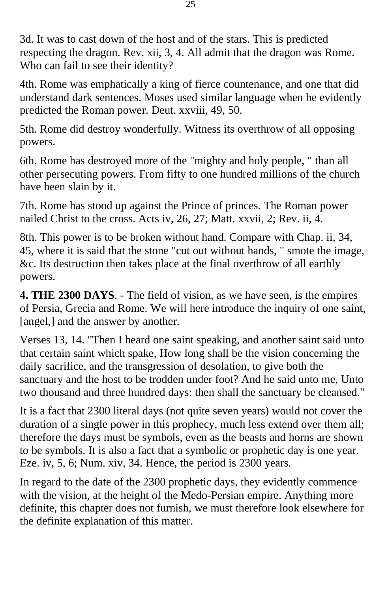3d. It was to cast down of the host and of the stars. This is predicted respecting the dragon. Rev. xii, 3, 4. All admit that the dragon was Rome. Who can fail to see their identity?

4th. Rome was emphatically a king of fierce countenance, and one that did understand dark sentences. Moses used similar language when he evidently predicted the Roman power. Deut. xxviii, 49, 50.

5th. Rome did destroy wonderfully. Witness its overthrow of all opposing powers.

6th. Rome has destroyed more of the "mighty and holy people, " than all other persecuting powers. From fifty to one hundred millions of the church have been slain by it.

7th. Rome has stood up against the Prince of princes. The Roman power nailed Christ to the cross. Acts iv, 26, 27; Matt. xxvii, 2; Rev. ii, 4.

8th. This power is to be broken without hand. Compare with Chap. ii, 34, 45, where it is said that the stone "cut out without hands, " smote the image, &c. Its destruction then takes place at the final overthrow of all earthly powers.

**4. THE 2300 DAYS**. - The field of vision, as we have seen, is the empires of Persia, Grecia and Rome. We will here introduce the inquiry of one saint, [angel,] and the answer by another.

Verses 13, 14. "Then I heard one saint speaking, and another saint said unto that certain saint which spake, How long shall be the vision concerning the daily sacrifice, and the transgression of desolation, to give both the sanctuary and the host to be trodden under foot? And he said unto me, Unto two thousand and three hundred days: then shall the sanctuary be cleansed."

It is a fact that 2300 literal days (not quite seven years) would not cover the duration of a single power in this prophecy, much less extend over them all; therefore the days must be symbols, even as the beasts and horns are shown to be symbols. It is also a fact that a symbolic or prophetic day is one year. Eze. iv, 5, 6; Num. xiv, 34. Hence, the period is 2300 years.

In regard to the date of the 2300 prophetic days, they evidently commence with the vision, at the height of the Medo-Persian empire. Anything more definite, this chapter does not furnish, we must therefore look elsewhere for the definite explanation of this matter.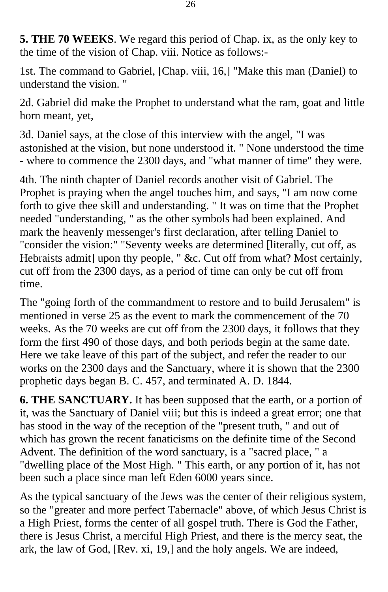**5. THE 70 WEEKS**. We regard this period of Chap. ix, as the only key to the time of the vision of Chap. viii. Notice as follows:-

1st. The command to Gabriel, [Chap. viii, 16,] "Make this man (Daniel) to understand the vision. "

2d. Gabriel did make the Prophet to understand what the ram, goat and little horn meant, yet,

3d. Daniel says, at the close of this interview with the angel, "I was astonished at the vision, but none understood it. " None understood the time - where to commence the 2300 days, and "what manner of time" they were.

4th. The ninth chapter of Daniel records another visit of Gabriel. The Prophet is praying when the angel touches him, and says, "I am now come forth to give thee skill and understanding. " It was on time that the Prophet needed "understanding, " as the other symbols had been explained. And mark the heavenly messenger's first declaration, after telling Daniel to "consider the vision:" "Seventy weeks are determined [literally, cut off, as Hebraists admit] upon thy people, " &c. Cut off from what? Most certainly, cut off from the 2300 days, as a period of time can only be cut off from time.

The "going forth of the commandment to restore and to build Jerusalem" is mentioned in verse 25 as the event to mark the commencement of the 70 weeks. As the 70 weeks are cut off from the 2300 days, it follows that they form the first 490 of those days, and both periods begin at the same date. Here we take leave of this part of the subject, and refer the reader to our works on the 2300 days and the Sanctuary, where it is shown that the 2300 prophetic days began B. C. 457, and terminated A. D. 1844.

**6. THE SANCTUARY.** It has been supposed that the earth, or a portion of it, was the Sanctuary of Daniel viii; but this is indeed a great error; one that has stood in the way of the reception of the "present truth, " and out of which has grown the recent fanaticisms on the definite time of the Second Advent. The definition of the word sanctuary, is a "sacred place, " a "dwelling place of the Most High. " This earth, or any portion of it, has not been such a place since man left Eden 6000 years since.

As the typical sanctuary of the Jews was the center of their religious system, so the "greater and more perfect Tabernacle" above, of which Jesus Christ is a High Priest, forms the center of all gospel truth. There is God the Father, there is Jesus Christ, a merciful High Priest, and there is the mercy seat, the ark, the law of God, [Rev. xi, 19,] and the holy angels. We are indeed,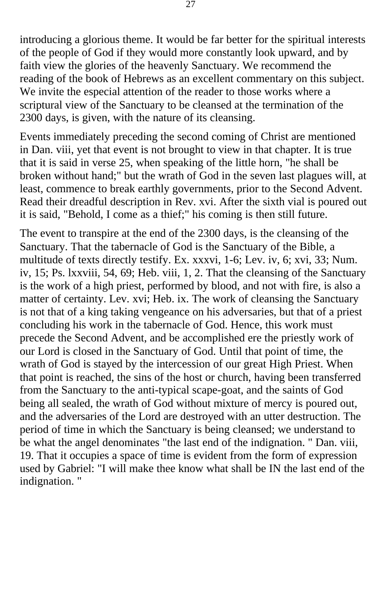introducing a glorious theme. It would be far better for the spiritual interests of the people of God if they would more constantly look upward, and by faith view the glories of the heavenly Sanctuary. We recommend the reading of the book of Hebrews as an excellent commentary on this subject. We invite the especial attention of the reader to those works where a scriptural view of the Sanctuary to be cleansed at the termination of the 2300 days, is given, with the nature of its cleansing.

Events immediately preceding the second coming of Christ are mentioned in Dan. viii, yet that event is not brought to view in that chapter. It is true that it is said in verse 25, when speaking of the little horn, "he shall be broken without hand;" but the wrath of God in the seven last plagues will, at least, commence to break earthly governments, prior to the Second Advent. Read their dreadful description in Rev. xvi. After the sixth vial is poured out it is said, "Behold, I come as a thief;" his coming is then still future.

The event to transpire at the end of the 2300 days, is the cleansing of the Sanctuary. That the tabernacle of God is the Sanctuary of the Bible, a multitude of texts directly testify. Ex. xxxvi, 1-6; Lev. iv, 6; xvi, 33; Num. iv, 15; Ps. lxxviii, 54, 69; Heb. viii, 1, 2. That the cleansing of the Sanctuary is the work of a high priest, performed by blood, and not with fire, is also a matter of certainty. Lev. xvi; Heb. ix. The work of cleansing the Sanctuary is not that of a king taking vengeance on his adversaries, but that of a priest concluding his work in the tabernacle of God. Hence, this work must precede the Second Advent, and be accomplished ere the priestly work of our Lord is closed in the Sanctuary of God. Until that point of time, the wrath of God is stayed by the intercession of our great High Priest. When that point is reached, the sins of the host or church, having been transferred from the Sanctuary to the anti-typical scape-goat, and the saints of God being all sealed, the wrath of God without mixture of mercy is poured out, and the adversaries of the Lord are destroyed with an utter destruction. The period of time in which the Sanctuary is being cleansed; we understand to be what the angel denominates "the last end of the indignation. " Dan. viii, 19. That it occupies a space of time is evident from the form of expression used by Gabriel: "I will make thee know what shall be IN the last end of the indignation. "